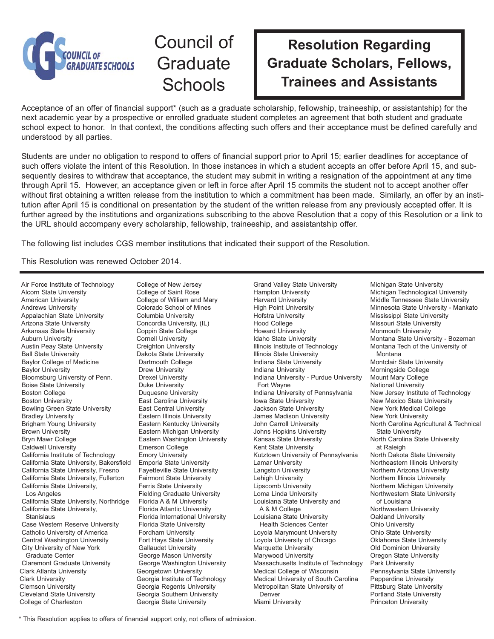

## Council of **Graduate Schools**

## **Resolution Regarding Graduate Scholars, Fellows, Trainees and Assistants**

Acceptance of an offer of financial support\* (such as a graduate scholarship, fellowship, traineeship, or assistantship) for the next academic year by a prospective or enrolled graduate student completes an agreement that both student and graduate school expect to honor. In that context, the conditions affecting such offers and their acceptance must be defined carefully and understood by all parties.

Students are under no obligation to respond to offers of financial support prior to April 15; earlier deadlines for acceptance of such offers violate the intent of this Resolution. In those instances in which a student accepts an offer before April 15, and subsequently desires to withdraw that acceptance, the student may submit in writing a resignation of the appointment at any time through April 15. However, an acceptance given or left in force after April 15 commits the student not to accept another offer without first obtaining a written release from the institution to which a commitment has been made. Similarly, an offer by an institution after April 15 is conditional on presentation by the student of the written release from any previously accepted offer. It is further agreed by the institutions and organizations subscribing to the above Resolution that a copy of this Resolution or a link to the URL should accompany every scholarship, fellowship, traineeship, and assistantship offer.

The following list includes CGS member institutions that indicated their support of the Resolution.

This Resolution was renewed October 2014.

Air Force Institute of Technology Alcorn State University American University Andrews University Appalachian State University Arizona State University Arkansas State University Auburn University Austin Peay State University Ball State University Baylor College of Medicine Baylor University Bloomsburg University of Penn. Boise State University Boston College Boston University Bowling Green State University Bradley University Brigham Young University Brown University Bryn Mawr College Caldwell University California Institute of Technology California State University, Bakersfield California State University, Fresno California State University, Fullerton California State University, Los Angeles California State University, Northridge California State University, **Stanislaus** Case Western Reserve University Catholic University of America Central Washington University City University of New York Graduate Center Claremont Graduate University Clark Atlanta University Clark University Clemson University Cleveland State University College of Charleston

College of New Jersey College of Saint Rose College of William and Mary Colorado School of Mines Columbia University Concordia University, (IL) Coppin State College Cornell University Creighton University Dakota State University Dartmouth College Drew University Drexel University Duke University Duquesne University East Carolina University East Central University Eastern Illinois University Eastern Kentucky University Eastern Michigan University Eastern Washington University Emerson College Emory University Emporia State University Fayetteville State University Fairmont State University Ferris State University Fielding Graduate University Florida A & M University Florida Atlantic University Florida International University Florida State University Fordham University Fort Hays State University Gallaudet University George Mason University George Washington University Georgetown University Georgia Institute of Technology Georgia Regents University Georgia Southern University Georgia State University

Grand Valley State University Hampton University Harvard University High Point University Hofstra University Hood College Howard University Idaho State University Illinois Institute of Technology Illinois State University Indiana State University Indiana University Indiana University - Purdue University Fort Wayne Indiana University of Pennsylvania Iowa State University Jackson State University James Madison University John Carroll University Johns Hopkins University Kansas State University Kent State University Kutztown University of Pennsylvania Lamar University Langston University Lehigh University Lipscomb University Loma Linda University Louisiana State University and A & M College Louisiana State University Health Sciences Center Loyola Marymount University Loyola University of Chicago Marquette University Marywood University Massachusetts Institute of Technology Medical College of Wisconsin Medical University of South Carolina Metropolitan State University of Denver Miami University

Michigan State University Michigan Technological University Middle Tennessee State University Minnesota State University - Mankato Mississippi State University Missouri State University Monmouth University Montana State University - Bozeman Montana Tech of the University of Montana Montclair State University Morningside College Mount Mary College National University New Jersey Institute of Technology New Mexico State University New York Medical College New York University North Carolina Agricultural & Technical State University North Carolina State University at Raleigh North Dakota State University Northeastern Illinois University Northern Arizona University Northern Illinois University Northern Michigan University Northwestern State University of Louisiana Northwestern University Oakland University Ohio University Ohio State University Oklahoma State University Old Dominion University Oregon State University Park University Pennsylvania State University Pepperdine University Pittsburg State University Portland State University Princeton University

\* This Resolution applies to offers of financial support only, not offers of admission.